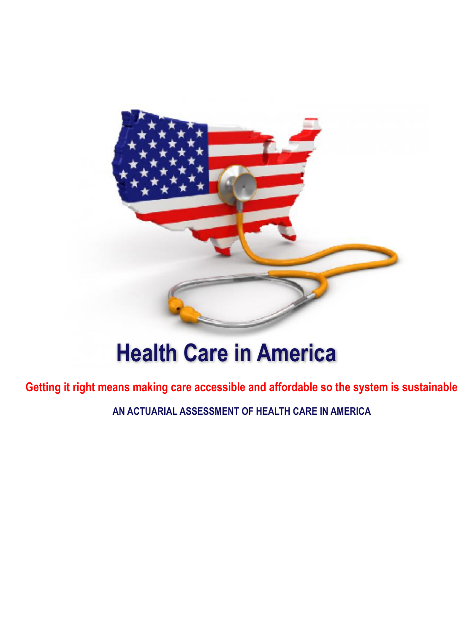

# **Health Care in America**

**Getting it right means making care accessible and affordable so the system is sustainable** 

**AN ACTUARIAL ASSESSMENT OF HEALTH CARE IN AMERICA**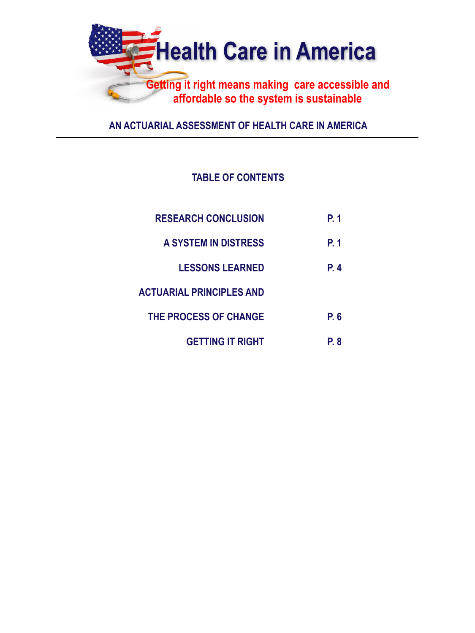

**AN ACTUARIAL ASSESSMENT OF HEALTH CARE IN AMERICA** 

# **TABLE OF CONTENTS**

| <b>RESEARCH CONCLUSION</b> | P. 1        |
|----------------------------|-------------|
| A SYSTEM IN DISTRESS       | P. 1        |
| <b>LESSONS LEARNED</b>     | <b>P.</b> 4 |
| ACTUARIAL PRINCIPLES AND   |             |
| THE PROCESS OF CHANGE      | P. 6        |
| <b>GETTING IT RIGHT</b>    | P. 8        |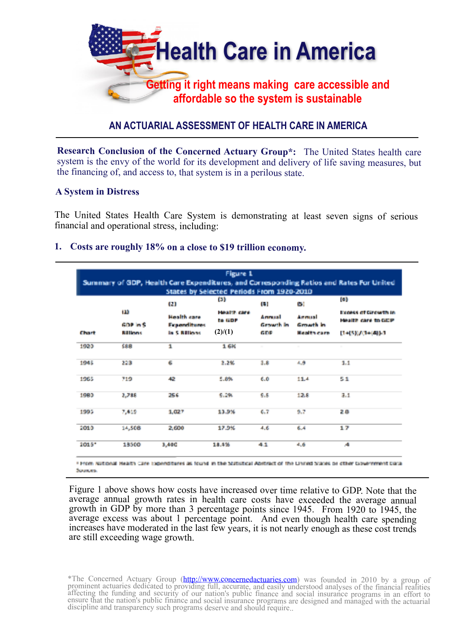

# **AN ACTUARIAL ASSESSMENT OF HEALTH CARE IN AMERICA**

**Research Conclusion of the Concerned Actuary Group\*:** The United States health care system is the envy of the world for its development and delivery of life saving measures, but the financing of, and access to, that system is in a perilous state.

# **A System in Distress**

The United States Health Care System is demonstrating at least seven signs of serious financial and operational stress, including:

# **1. Costs are roughly 18% on a close to \$19 trillion economy.**

|          |                 | a                   | (3)        | States by Selected Periods From 1920-2010<br>ш | œг                 | [6]                    |  |
|----------|-----------------|---------------------|------------|------------------------------------------------|--------------------|------------------------|--|
|          | w               | <b>Health care</b>  | HANTE CALL | Armest                                         | Annual             | Expess of Growth in    |  |
|          | <b>GOP INS</b>  | <b>Expenditures</b> | to GDP     | Gewath In                                      | Growth In          | Health care to GDP     |  |
| Chart    | <b>Rillinns</b> | in S Rillians       | (2)/(1)    | GEIF                                           | <b>Health cars</b> | $1 + (5)(7) + (4)(-1)$ |  |
| 1923     | 588             | 1                   | 1.6%       | $\sim$                                         | $\sim$             | $\sim$                 |  |
| 1945     | 223             | 6                   | 2.2%       | 3.8                                            | ورد                | 1.1                    |  |
| 1965     | 719             | 42                  | 5.8%       | 6.0                                            | 11.4               | 51                     |  |
| 1983     | 2,788           | 256                 | 5.2%       | 6.8                                            | 12.8               | 3.1                    |  |
| 1995     | 7,419           | 1,027               | 13.9%      | 6.7                                            | 9.7                | 28                     |  |
| 2010     | 14,508          | 2,600               | 17.9%      | 4.6                                            | 6.4                | 17                     |  |
| $1015^*$ | 13500           | 3,400               | 18.4%      | 41                                             | 4.6                | A.                     |  |

\* From National Health Care Expenditures as found in the Statistical Abstract of the United States or other Government Data Sources.

Figure 1 above shows how costs have increased over time relative to GDP. Note that the average annual growth rates in health care costs have exceeded the average annual growth in GDP by more than 3 percentage points since 1945. From 1920 to 1945, the average excess was about 1 percentage point. And even though health care spending increases have moderated in the last few years, it is not nearly enough as these cost trends are still exceeding wage growth.

<sup>\*</sup>The Concerned Actuary Group [\(http://www.concernedactuaries.com\)](http://www.concernedactuaries.com) was founded in 2010 by a group of prominent actuaries dedicated to prov[idi](http://www.concernedactuaries.com)ng [f](http://www.concernedactuaries.com)u[ll](http://www.concernedactuaries.com), accurate, an[d](http://www.concernedactuaries.com) easily understood analyses of the financial realities affecting the funding and security of our nation's public finance and social insurance programs in an effort to ensure that the nation's public finance and social insurance programs are designed and managed with the actuarial discipline and transparency such programs deserve and should require..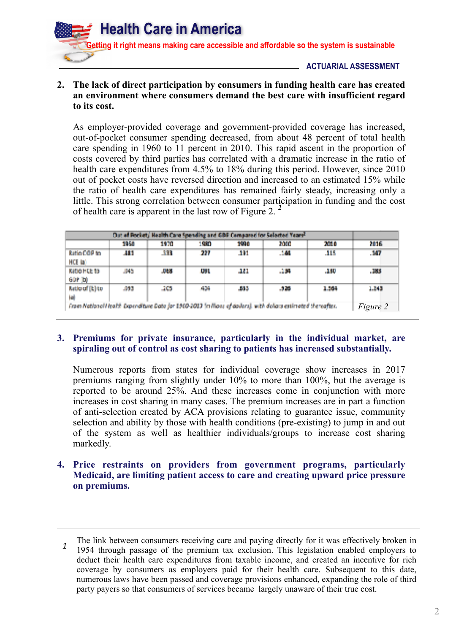

# **ACTUARIAL ASSESSMENT**

# **2. The lack of direct participation by consumers in funding health care has created an environment where consumers demand the best care with insufficient regard to its cost.**

As employer-provided coverage and government-provided coverage has increased, out-of-pocket consumer spending decreased, from about 48 percent of total health care spending in 1960 to 11 percent in 2010. This rapid ascent in the proportion of costs covered by third parties has correlated with a dramatic increase in the ratio of health care expenditures from 4.5% to 18% during this period. However, since 2010 out of pocket costs have reversed direction and increased to an estimated 15% while the ratio of health care expenditures has remained fairly steady, increasing only a little. This strong correlation between consumer participation in funding and the cost of health care is apparent in the last row of Figure 2.<sup>1</sup>

| Out of Pocket, Health Care Spending and GBF Compared for Selected Years? |      |      |            |      |                                                                                                               |       |                 |
|--------------------------------------------------------------------------|------|------|------------|------|---------------------------------------------------------------------------------------------------------------|-------|-----------------|
|                                                                          | 1950 | 1970 | 1980       | 1990 | 2000                                                                                                          | 2010  | 2016            |
| <b>Ratio COP to</b><br><b>HCE la'</b>                                    | AH 1 | .333 | 227        | 191  | .144                                                                                                          | .115  | .147            |
| <b>Katio HCE to</b><br><b>GOP (D)</b>                                    | ,045 | .DEN | <b>UVI</b> | 48   | .134                                                                                                          | .180  | .383            |
| Katio of [k] to<br>Hall                                                  | .093 | .205 | 404        | -533 | .526                                                                                                          | 1.564 | 1.243           |
|                                                                          |      |      |            |      | From National Health Dependiture Data for 1960-2013 (millions of dollars), with deliars estimated the vafter. |       | <i>Figure 2</i> |

# **3. Premiums for private insurance, particularly in the individual market, are spiraling out of control as cost sharing to patients has increased substantially.**

Numerous reports from states for individual coverage show increases in 2017 premiums ranging from slightly under 10% to more than 100%, but the average is reported to be around 25%. And these increases come in conjunction with more increases in cost sharing in many cases. The premium increases are in part a function of anti-selection created by ACA provisions relating to guarantee issue, community selection and ability by those with health conditions (pre-existing) to jump in and out of the system as well as healthier individuals/groups to increase cost sharing markedly.

# **4. Price restraints on providers from government programs, particularly Medicaid, are limiting patient access to care and creating upward price pressure on premiums.**

<sup>&</sup>lt;sup>1</sup> The link between consumers receiving care and paying directly for it was effectively broken in 1954 through passage of the premium tax exclusion. This legislation enabled employers to deduct their health care expenditures from taxable income, and created an incentive for rich coverage by consumers as employers paid for their health care. Subsequent to this date, numerous laws have been passed and coverage provisions enhanced, expanding the role of third party payers so that consumers of services became largely unaware of their true cost.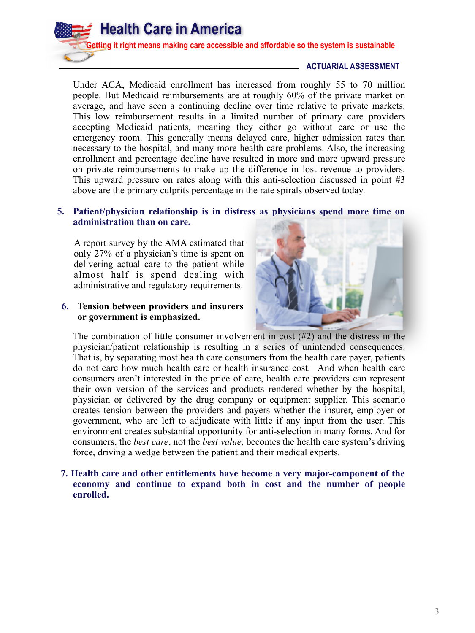# **ACTUARIAL ASSESSMENT**

Under ACA, Medicaid enrollment has increased from roughly 55 to 70 million people. But Medicaid reimbursements are at roughly 60% of the private market on average, and have seen a continuing decline over time relative to private markets. This low reimbursement results in a limited number of primary care providers accepting Medicaid patients, meaning they either go without care or use the emergency room. This generally means delayed care, higher admission rates than necessary to the hospital, and many more health care problems. Also, the increasing enrollment and percentage decline have resulted in more and more upward pressure on private reimbursements to make up the difference in lost revenue to providers. This upward pressure on rates along with this anti-selection discussed in point #3 above are the primary culprits percentage in the rate spirals observed today.

# **5. Patient/physician relationship is in distress as physicians spend more time on administration than on care.**

A report survey by the AMA estimated that only 27% of a physician's time is spent on delivering actual care to the patient while almost half is spend dealing with administrative and regulatory requirements.

#### **6. Tension between providers and insurers or government is emphasized.**



The combination of little consumer involvement in cost (#2) and the distress in the physician/patient relationship is resulting in a series of unintended consequences. That is, by separating most health care consumers from the health care payer, patients do not care how much health care or health insurance cost. And when health care consumers aren't interested in the price of care, health care providers can represent their own version of the services and products rendered whether by the hospital, physician or delivered by the drug company or equipment supplier. This scenario creates tension between the providers and payers whether the insurer, employer or government, who are left to adjudicate with little if any input from the user. This environment creates substantial opportunity for anti-selection in many forms. And for consumers, the *best care*, not the *best value*, becomes the health care system's driving force, driving a wedge between the patient and their medical experts.

**7. Health care and other entitlements have become a very major component of the economy and continue to expand both in cost and the number of people enrolled.**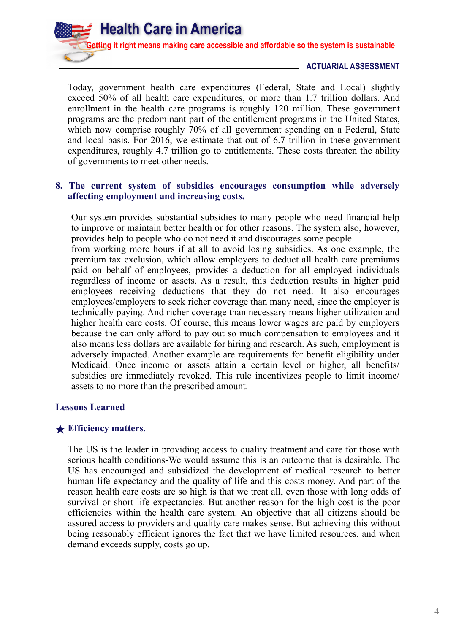#### **ACTUARIAL ASSESSMENT**

Today, government health care expenditures (Federal, State and Local) slightly exceed 50% of all health care expenditures, or more than 1.7 trillion dollars. And enrollment in the health care programs is roughly 120 million. These government programs are the predominant part of the entitlement programs in the United States, which now comprise roughly 70% of all government spending on a Federal, State and local basis. For 2016, we estimate that out of 6.7 trillion in these government expenditures, roughly 4.7 trillion go to entitlements. These costs threaten the ability of governments to meet other needs.

# **8. The current system of subsidies encourages consumption while adversely affecting employment and increasing costs.**

Our system provides substantial subsidies to many people who need financial help to improve or maintain better health or for other reasons. The system also, however, provides help to people who do not need it and discourages some people

from working more hours if at all to avoid losing subsidies. As one example, the premium tax exclusion, which allow employers to deduct all health care premiums paid on behalf of employees, provides a deduction for all employed individuals regardless of income or assets. As a result, this deduction results in higher paid employees receiving deductions that they do not need. It also encourages employees/employers to seek richer coverage than many need, since the employer is technically paying. And richer coverage than necessary means higher utilization and higher health care costs. Of course, this means lower wages are paid by employers because the can only afford to pay out so much compensation to employees and it also means less dollars are available for hiring and research. As such, employment is adversely impacted. Another example are requirements for benefit eligibility under Medicaid. Once income or assets attain a certain level or higher, all benefits/ subsidies are immediately revoked. This rule incentivizes people to limit income/ assets to no more than the prescribed amount.

#### **Lessons Learned**

#### ★ **Efficiency matters.**

The US is the leader in providing access to quality treatment and care for those with serious health conditions-We would assume this is an outcome that is desirable. The US has encouraged and subsidized the development of medical research to better human life expectancy and the quality of life and this costs money. And part of the reason health care costs are so high is that we treat all, even those with long odds of survival or short life expectancies. But another reason for the high cost is the poor efficiencies within the health care system. An objective that all citizens should be assured access to providers and quality care makes sense. But achieving this without being reasonably efficient ignores the fact that we have limited resources, and when demand exceeds supply, costs go up.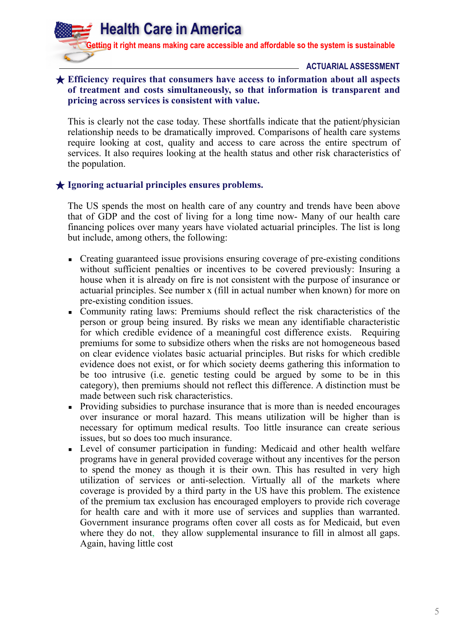**ACTUARIAL ASSESSMENT**

# ★ **Efficiency requires that consumers have access to information about all aspects of treatment and costs simultaneously, so that information is transparent and pricing across services is consistent with value.**

This is clearly not the case today. These shortfalls indicate that the patient/physician relationship needs to be dramatically improved. Comparisons of health care systems require looking at cost, quality and access to care across the entire spectrum of services. It also requires looking at the health status and other risk characteristics of the population.

# ★ **Ignoring actuarial principles ensures problems.**

The US spends the most on health care of any country and trends have been above that of GDP and the cost of living for a long time now- Many of our health care financing polices over many years have violated actuarial principles. The list is long but include, among others, the following:

- Creating guaranteed issue provisions ensuring coverage of pre-existing conditions without sufficient penalties or incentives to be covered previously: Insuring a house when it is already on fire is not consistent with the purpose of insurance or actuarial principles. See number x (fill in actual number when known) for more on pre-existing condition issues.
- Community rating laws: Premiums should reflect the risk characteristics of the person or group being insured. By risks we mean any identifiable characteristic for which credible evidence of a meaningful cost difference exists. Requiring premiums for some to subsidize others when the risks are not homogeneous based on clear evidence violates basic actuarial principles. But risks for which credible evidence does not exist, or for which society deems gathering this information to be too intrusive (i.e. genetic testing could be argued by some to be in this category), then premiums should not reflect this difference. A distinction must be made between such risk characteristics.
- Providing subsidies to purchase insurance that is more than is needed encourages over insurance or moral hazard. This means utilization will be higher than is necessary for optimum medical results. Too little insurance can create serious issues, but so does too much insurance.
- Level of consumer participation in funding: Medicaid and other health welfare programs have in general provided coverage without any incentives for the person to spend the money as though it is their own. This has resulted in very high utilization of services or anti-selection. Virtually all of the markets where coverage is provided by a third party in the US have this problem. The existence of the premium tax exclusion has encouraged employers to provide rich coverage for health care and with it more use of services and supplies than warranted. Government insurance programs often cover all costs as for Medicaid, but even where they do not, they allow supplemental insurance to fill in almost all gaps. Again, having little cost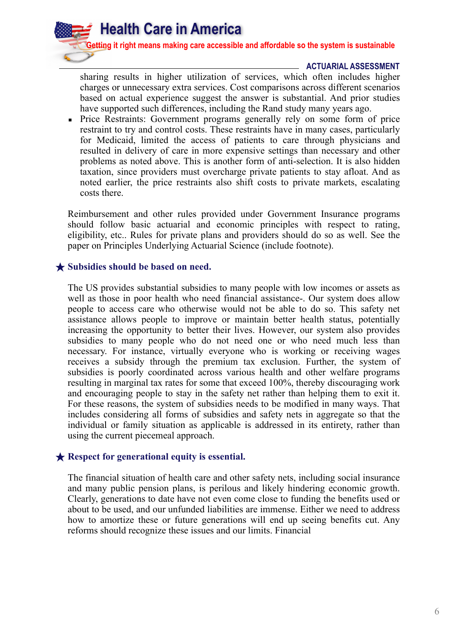

#### **ACTUARIAL ASSESSMENT**

sharing results in higher utilization of services, which often includes higher charges or unnecessary extra services. Cost comparisons across different scenarios based on actual experience suggest the answer is substantial. And prior studies have supported such differences, including the Rand study many years ago.

Price Restraints: Government programs generally rely on some form of price restraint to try and control costs. These restraints have in many cases, particularly for Medicaid, limited the access of patients to care through physicians and resulted in delivery of care in more expensive settings than necessary and other problems as noted above. This is another form of anti-selection. It is also hidden taxation, since providers must overcharge private patients to stay afloat. And as noted earlier, the price restraints also shift costs to private markets, escalating costs there.

Reimbursement and other rules provided under Government Insurance programs should follow basic actuarial and economic principles with respect to rating, eligibility, etc.. Rules for private plans and providers should do so as well. See the paper on Principles Underlying Actuarial Science (include footnote).

# ★ **Subsidies should be based on need.**

The US provides substantial subsidies to many people with low incomes or assets as well as those in poor health who need financial assistance-. Our system does allow people to access care who otherwise would not be able to do so. This safety net assistance allows people to improve or maintain better health status, potentially increasing the opportunity to better their lives. However, our system also provides subsidies to many people who do not need one or who need much less than necessary. For instance, virtually everyone who is working or receiving wages receives a subsidy through the premium tax exclusion. Further, the system of subsidies is poorly coordinated across various health and other welfare programs resulting in marginal tax rates for some that exceed 100%, thereby discouraging work and encouraging people to stay in the safety net rather than helping them to exit it. For these reasons, the system of subsidies needs to be modified in many ways. That includes considering all forms of subsidies and safety nets in aggregate so that the individual or family situation as applicable is addressed in its entirety, rather than using the current piecemeal approach.

# ★ **Respect for generational equity is essential.**

The financial situation of health care and other safety nets, including social insurance and many public pension plans, is perilous and likely hindering economic growth. Clearly, generations to date have not even come close to funding the benefits used or about to be used, and our unfunded liabilities are immense. Either we need to address how to amortize these or future generations will end up seeing benefits cut. Any reforms should recognize these issues and our limits. Financial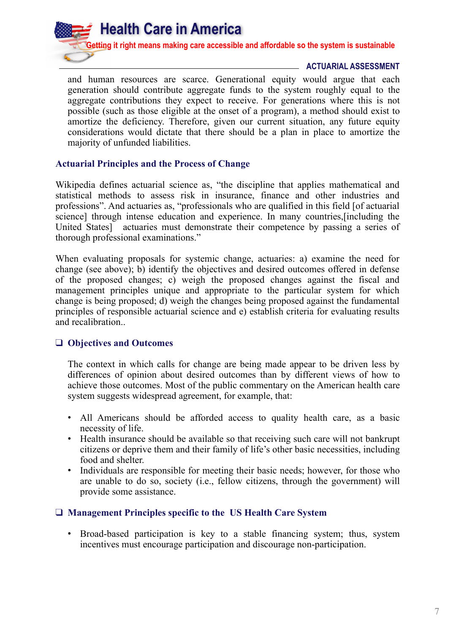# **ACTUARIAL ASSESSMENT**

and human resources are scarce. Generational equity would argue that each generation should contribute aggregate funds to the system roughly equal to the aggregate contributions they expect to receive. For generations where this is not possible (such as those eligible at the onset of a program), a method should exist to amortize the deficiency. Therefore, given our current situation, any future equity considerations would dictate that there should be a plan in place to amortize the majority of unfunded liabilities.

# **Actuarial Principles and the Process of Change**

Wikipedia defines actuarial science as, "the discipline that applies mathematical and statistical methods to assess risk in insurance, finance and other industries and professions". And actuaries as, "professionals who are qualified in this field [of actuarial science] through intense education and experience. In many countries,[including the United States] actuaries must demonstrate their competence by passing a series of thorough professional examinations."

When evaluating proposals for systemic change, actuaries: a) examine the need for change (see above); b) identify the objectives and desired outcomes offered in defense of the proposed changes; c) weigh the proposed changes against the fiscal and management principles unique and appropriate to the particular system for which change is being proposed; d) weigh the changes being proposed against the fundamental principles of responsible actuarial science and e) establish criteria for evaluating results and recalibration..

# ❑ **Objectives and Outcomes**

The context in which calls for change are being made appear to be driven less by differences of opinion about desired outcomes than by different views of how to achieve those outcomes. Most of the public commentary on the American health care system suggests widespread agreement, for example, that:

- All Americans should be afforded access to quality health care, as a basic necessity of life.
- Health insurance should be available so that receiving such care will not bankrupt citizens or deprive them and their family of life's other basic necessities, including food and shelter.
- Individuals are responsible for meeting their basic needs; however, for those who are unable to do so, society (i.e., fellow citizens, through the government) will provide some assistance.

# ❑ **Management Principles specific to the US Health Care System**

• Broad-based participation is key to a stable financing system; thus, system incentives must encourage participation and discourage non-participation.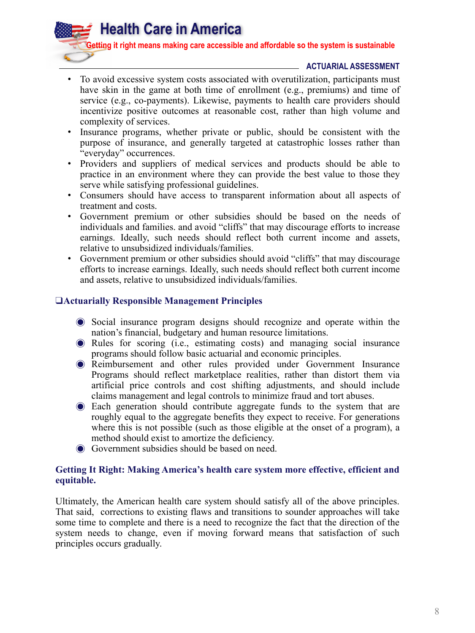**Getting it right means making care accessible and affordable so the system is sustainable**

# **ACTUARIAL ASSESSMENT**

- To avoid excessive system costs associated with overutilization, participants must have skin in the game at both time of enrollment (e.g., premiums) and time of service (e.g., co-payments). Likewise, payments to health care providers should incentivize positive outcomes at reasonable cost, rather than high volume and complexity of services.
- Insurance programs, whether private or public, should be consistent with the purpose of insurance, and generally targeted at catastrophic losses rather than "everyday" occurrences.
- Providers and suppliers of medical services and products should be able to practice in an environment where they can provide the best value to those they serve while satisfying professional guidelines.
- Consumers should have access to transparent information about all aspects of treatment and costs.
- Government premium or other subsidies should be based on the needs of individuals and families. and avoid "cliffs" that may discourage efforts to increase earnings. Ideally, such needs should reflect both current income and assets, relative to unsubsidized individuals/families.
- Government premium or other subsidies should avoid "cliffs" that may discourage efforts to increase earnings. Ideally, such needs should reflect both current income and assets, relative to unsubsidized individuals/families.

#### ❑**Actuarially Responsible Management Principles**

**Health Care in America** 

- ◉ Social insurance program designs should recognize and operate within the nation's financial, budgetary and human resource limitations.
- ◉ Rules for scoring (i.e., estimating costs) and managing social insurance programs should follow basic actuarial and economic principles.
- ◉ Reimbursement and other rules provided under Government Insurance Programs should reflect marketplace realities, rather than distort them via artificial price controls and cost shifting adjustments, and should include claims management and legal controls to minimize fraud and tort abuses.
- ◉ Each generation should contribute aggregate funds to the system that are roughly equal to the aggregate benefits they expect to receive. For generations where this is not possible (such as those eligible at the onset of a program), a method should exist to amortize the deficiency.
- ◉ Government subsidies should be based on need.

# **Getting It Right: Making America's health care system more effective, efficient and equitable.**

Ultimately, the American health care system should satisfy all of the above principles. That said, corrections to existing flaws and transitions to sounder approaches will take some time to complete and there is a need to recognize the fact that the direction of the system needs to change, even if moving forward means that satisfaction of such principles occurs gradually.